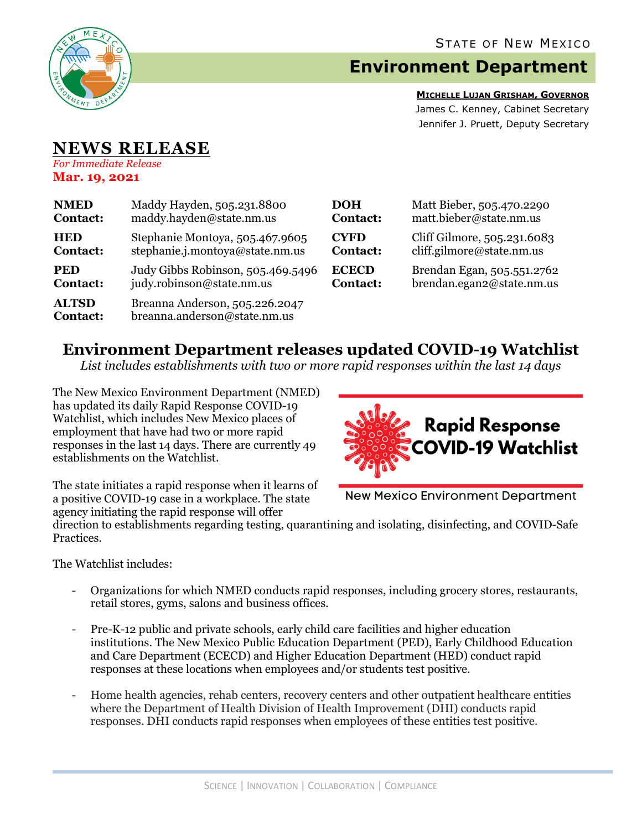

# **Environment Department**

**MICHELLE LUJAN GRISHAM, GOVERNOR** James C. Kenney, Cabinet Secretary Jennifer J. Pruett, Deputy Secretary

#### **NEWS RELEASE** *For Immediate Release*

**Mar. 19, 2021**

| <b>NMED</b>                     | Maddy Hayden, 505.231.8800                                     | <b>DOH</b>      | Matt Bieber, 505.470.2290   |
|---------------------------------|----------------------------------------------------------------|-----------------|-----------------------------|
| <b>Contact:</b>                 | maddy.hayden@state.nm.us                                       | <b>Contact:</b> | matt.bieber@state.nm.us     |
| <b>HED</b>                      | Stephanie Montoya, 505.467.9605                                | <b>CYFD</b>     | Cliff Gilmore, 505.231.6083 |
| <b>Contact:</b>                 | stephanie.j.montoya@state.nm.us                                | <b>Contact:</b> | cliff.gilmore@state.nm.us   |
| <b>PED</b>                      | Judy Gibbs Robinson, 505.469.5496                              | <b>ECECD</b>    | Brendan Egan, 505.551.2762  |
| <b>Contact:</b>                 | judy.robinson@state.nm.us                                      | <b>Contact:</b> | brendan.egan2@state.nm.us   |
| <b>ALTSD</b><br><b>Contact:</b> | Breanna Anderson, 505.226.2047<br>breanna.anderson@state.nm.us |                 |                             |

### **Environment Department releases updated COVID-19 Watchlist**

*List includes establishments with two or more rapid responses within the last 14 days*

The New Mexico Environment Department (NMED) has updated its daily Rapid Response COVID-19 Watchlist, which includes New Mexico places of employment that have had two or more rapid responses in the last 14 days. There are currently 49 establishments on the Watchlist.



The state initiates a rapid response when it learns of a positive COVID-19 case in a workplace. The state agency initiating the rapid response will offer

**New Mexico Environment Department** 

direction to establishments regarding testing, quarantining and isolating, disinfecting, and COVID-Safe Practices.

The Watchlist includes:

- Organizations for which NMED conducts rapid responses, including grocery stores, restaurants, retail stores, gyms, salons and business offices.
- Pre-K-12 public and private schools, early child care facilities and higher education institutions. The New Mexico Public Education Department (PED), Early Childhood Education and Care Department (ECECD) and Higher Education Department (HED) conduct rapid responses at these locations when employees and/or students test positive.
- Home health agencies, rehab centers, recovery centers and other outpatient healthcare entities where the Department of Health Division of Health Improvement (DHI) conducts rapid responses. DHI conducts rapid responses when employees of these entities test positive.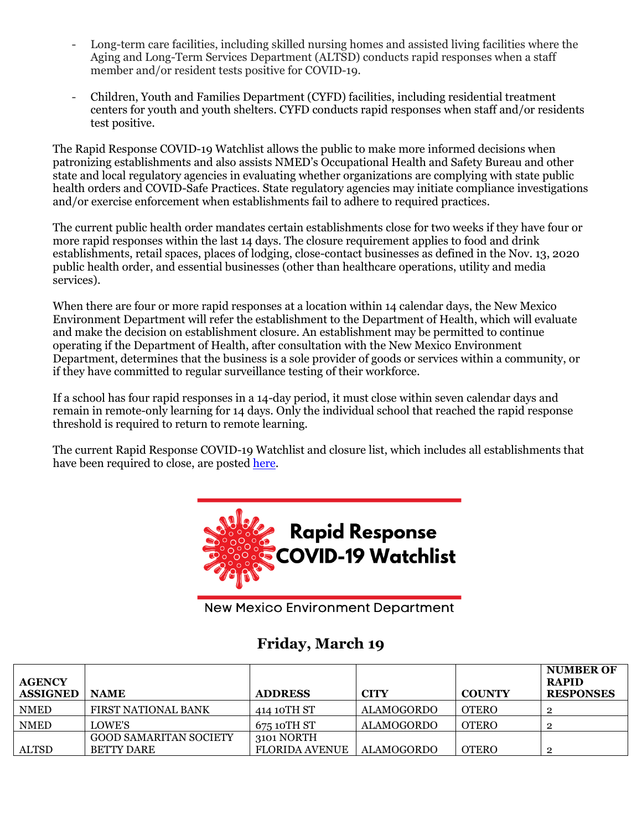- Long-term care facilities, including skilled nursing homes and assisted living facilities where the Aging and Long-Term Services Department (ALTSD) conducts rapid responses when a staff member and/or resident tests positive for COVID-19.
- Children, Youth and Families Department (CYFD) facilities, including residential treatment centers for youth and youth shelters. CYFD conducts rapid responses when staff and/or residents test positive.

The Rapid Response COVID-19 Watchlist allows the public to make more informed decisions when patronizing establishments and also assists NMED's Occupational Health and Safety Bureau and other state and local regulatory agencies in evaluating whether organizations are complying with state public health orders and COVID-Safe Practices. State regulatory agencies may initiate compliance investigations and/or exercise enforcement when establishments fail to adhere to required practices.

The current public health order mandates certain establishments close for two weeks if they have four or more rapid responses within the last 14 days. The closure requirement applies to food and drink establishments, retail spaces, places of lodging, close-contact businesses as defined in the Nov. 13, 2020 public health order, and essential businesses (other than healthcare operations, utility and media services).

When there are four or more rapid responses at a location within 14 calendar days, the New Mexico Environment Department will refer the establishment to the Department of Health, which will evaluate and make the decision on establishment closure. An establishment may be permitted to continue operating if the Department of Health, after consultation with the New Mexico Environment Department, determines that the business is a sole provider of goods or services within a community, or if they have committed to regular surveillance testing of their workforce.

If a school has four rapid responses in a 14-day period, it must close within seven calendar days and remain in remote-only learning for 14 days. Only the individual school that reached the rapid response threshold is required to return to remote learning.

The current Rapid Response COVID-19 Watchlist and closure list, which includes all establishments that have been required to close, are posted [here.](https://www.env.nm.gov/rapid-response-data/)



**New Mexico Environment Department** 

## **Friday, March 19**

| <b>AGENCY</b><br><b>ASSIGNED</b> | <b>NAME</b>                   | <b>ADDRESS</b> | CITY              | <b>COUNTY</b> | <b>NUMBER OF</b><br><b>RAPID</b><br><b>RESPONSES</b> |
|----------------------------------|-------------------------------|----------------|-------------------|---------------|------------------------------------------------------|
| <b>NMED</b>                      | <b>FIRST NATIONAL BANK</b>    | 414 10TH ST    | <b>ALAMOGORDO</b> | <b>OTERO</b>  | $\overline{2}$                                       |
| <b>NMED</b>                      | LOWE'S                        | 675 10TH ST    | <b>ALAMOGORDO</b> | <b>OTERO</b>  | $\overline{2}$                                       |
|                                  | <b>GOOD SAMARITAN SOCIETY</b> | 3101 NORTH     |                   |               |                                                      |
| <b>ALTSD</b>                     | <b>BETTY DARE</b>             | FLORIDA AVENUE | <b>ALAMOGORDO</b> | <b>OTERO</b>  | 0                                                    |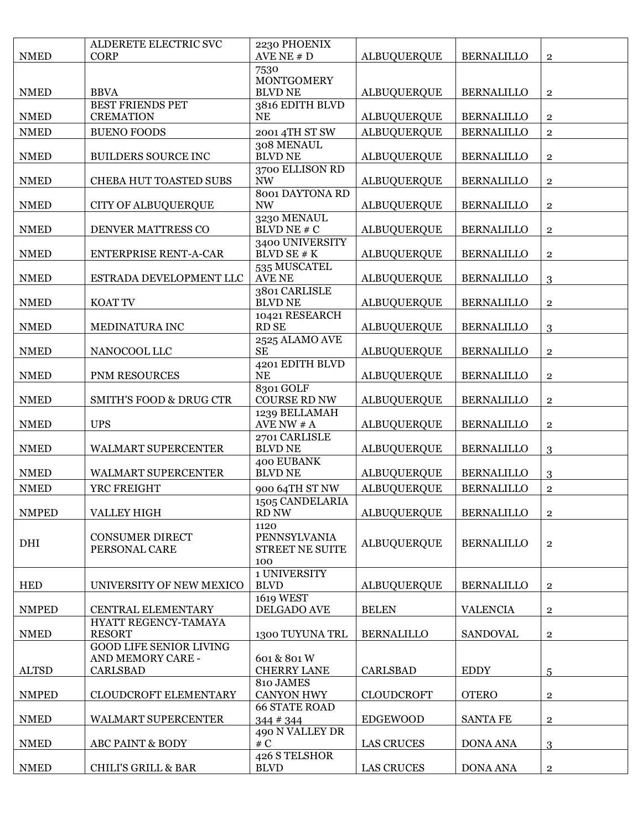|              | ALDERETE ELECTRIC SVC                                                  | 2230 PHOENIX                                          |                    |                   |                |
|--------------|------------------------------------------------------------------------|-------------------------------------------------------|--------------------|-------------------|----------------|
| <b>NMED</b>  | <b>CORP</b>                                                            | AVE NE $# D$<br>7530                                  | <b>ALBUQUERQUE</b> | <b>BERNALILLO</b> | $\overline{2}$ |
| <b>NMED</b>  | <b>BBVA</b>                                                            | <b>MONTGOMERY</b><br><b>BLVD NE</b>                   | <b>ALBUQUERQUE</b> | <b>BERNALILLO</b> | $\overline{2}$ |
| <b>NMED</b>  | <b>BEST FRIENDS PET</b><br><b>CREMATION</b>                            | 3816 EDITH BLVD<br><b>NE</b>                          | <b>ALBUQUERQUE</b> | <b>BERNALILLO</b> | $\overline{2}$ |
| <b>NMED</b>  | <b>BUENO FOODS</b>                                                     | 2001 4TH ST SW                                        | <b>ALBUQUERQUE</b> | <b>BERNALILLO</b> | $\overline{2}$ |
| <b>NMED</b>  | <b>BUILDERS SOURCE INC</b>                                             | 308 MENAUL<br><b>BLVD NE</b>                          | <b>ALBUQUERQUE</b> | <b>BERNALILLO</b> | $\mathbf{2}$   |
| <b>NMED</b>  | CHEBA HUT TOASTED SUBS                                                 | 3700 ELLISON RD<br><b>NW</b>                          | <b>ALBUQUERQUE</b> | <b>BERNALILLO</b> | $\mathbf{2}$   |
| <b>NMED</b>  | <b>CITY OF ALBUQUERQUE</b>                                             | 8001 DAYTONA RD<br><b>NW</b>                          | <b>ALBUQUERQUE</b> | <b>BERNALILLO</b> | $\overline{2}$ |
| <b>NMED</b>  | DENVER MATTRESS CO                                                     | 3230 MENAUL<br>BLVD NE # C                            | <b>ALBUQUERQUE</b> | <b>BERNALILLO</b> | $\overline{2}$ |
| <b>NMED</b>  | ENTERPRISE RENT-A-CAR                                                  | 3400 UNIVERSITY<br>BLVD SE $# K$                      | <b>ALBUQUERQUE</b> | <b>BERNALILLO</b> | $\overline{2}$ |
| <b>NMED</b>  | ESTRADA DEVELOPMENT LLC                                                | 535 MUSCATEL<br><b>AVE NE</b>                         | <b>ALBUQUERQUE</b> | <b>BERNALILLO</b> | 3              |
| <b>NMED</b>  | <b>KOAT TV</b>                                                         | 3801 CARLISLE<br><b>BLVD NE</b><br>10421 RESEARCH     | <b>ALBUQUERQUE</b> | <b>BERNALILLO</b> | $\mathbf 2$    |
| <b>NMED</b>  | MEDINATURA INC                                                         | <b>RD SE</b><br>2525 ALAMO AVE                        | <b>ALBUQUERQUE</b> | <b>BERNALILLO</b> | 3              |
| <b>NMED</b>  | NANOCOOL LLC                                                           | <b>SE</b>                                             | <b>ALBUQUERQUE</b> | <b>BERNALILLO</b> | $\overline{2}$ |
| <b>NMED</b>  | PNM RESOURCES                                                          | 4201 EDITH BLVD<br><b>NE</b>                          | <b>ALBUQUERQUE</b> | <b>BERNALILLO</b> | $\mathbf{2}$   |
| <b>NMED</b>  | <b>SMITH'S FOOD &amp; DRUG CTR</b>                                     | 8301 GOLF<br><b>COURSE RD NW</b>                      | <b>ALBUQUERQUE</b> | <b>BERNALILLO</b> | $\mathbf 2$    |
| <b>NMED</b>  | <b>UPS</b>                                                             | 1239 BELLAMAH<br>AVE NW $# A$                         | <b>ALBUQUERQUE</b> | <b>BERNALILLO</b> | $\overline{2}$ |
| <b>NMED</b>  | <b>WALMART SUPERCENTER</b>                                             | 2701 CARLISLE<br><b>BLVD NE</b>                       | <b>ALBUQUERQUE</b> | <b>BERNALILLO</b> | 3              |
| <b>NMED</b>  | <b>WALMART SUPERCENTER</b>                                             | 400 EUBANK<br><b>BLVD NE</b>                          | <b>ALBUQUERQUE</b> | <b>BERNALILLO</b> | 3              |
| <b>NMED</b>  | YRC FREIGHT                                                            | 900 64TH ST NW                                        | <b>ALBUQUERQUE</b> | <b>BERNALILLO</b> | $\overline{2}$ |
| <b>NMPED</b> | <b>VALLEY HIGH</b>                                                     | 1505 CANDELARIA<br><b>RD NW</b>                       | <b>ALBUQUERQUE</b> | <b>BERNALILLO</b> | $\overline{2}$ |
| DHI          | <b>CONSUMER DIRECT</b><br>PERSONAL CARE                                | 1120<br>PENNSYLVANIA<br><b>STREET NE SUITE</b><br>100 | <b>ALBUQUERQUE</b> | <b>BERNALILLO</b> | $\overline{2}$ |
| <b>HED</b>   | UNIVERSITY OF NEW MEXICO                                               | 1 UNIVERSITY<br><b>BLVD</b>                           | <b>ALBUQUERQUE</b> | <b>BERNALILLO</b> | $\mathbf{2}$   |
| <b>NMPED</b> | CENTRAL ELEMENTARY                                                     | <b>1619 WEST</b><br><b>DELGADO AVE</b>                | <b>BELEN</b>       | <b>VALENCIA</b>   | $\overline{2}$ |
| <b>NMED</b>  | HYATT REGENCY-TAMAYA<br><b>RESORT</b>                                  | 1300 TUYUNA TRL                                       | <b>BERNALILLO</b>  | <b>SANDOVAL</b>   | $\overline{2}$ |
| <b>ALTSD</b> | <b>GOOD LIFE SENIOR LIVING</b><br>AND MEMORY CARE -<br><b>CARLSBAD</b> | 601 & 801 W<br><b>CHERRY LANE</b>                     | <b>CARLSBAD</b>    | <b>EDDY</b>       | 5              |
| <b>NMPED</b> | CLOUDCROFT ELEMENTARY                                                  | 810 JAMES<br><b>CANYON HWY</b>                        | <b>CLOUDCROFT</b>  | <b>OTERO</b>      | $\overline{2}$ |
| <b>NMED</b>  | <b>WALMART SUPERCENTER</b>                                             | <b>66 STATE ROAD</b><br>$344 * 344$                   | <b>EDGEWOOD</b>    | <b>SANTA FE</b>   | $\overline{2}$ |
| <b>NMED</b>  | ABC PAINT & BODY                                                       | 490 N VALLEY DR<br># $C$                              | <b>LAS CRUCES</b>  | <b>DONA ANA</b>   | 3              |
| <b>NMED</b>  | <b>CHILI'S GRILL &amp; BAR</b>                                         | 426 STELSHOR<br><b>BLVD</b>                           | <b>LAS CRUCES</b>  | DONA ANA          | $\mathbf 2$    |